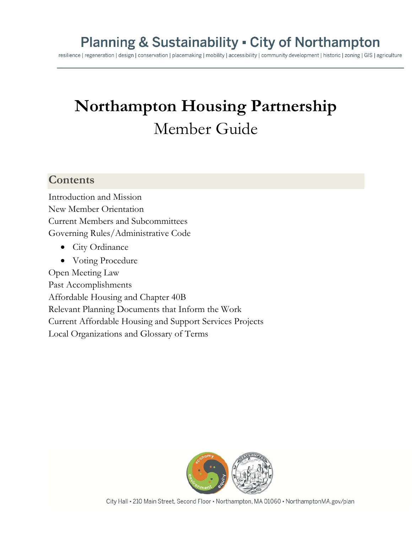# **Planning & Sustainability - City of Northampton**

resilience | regeneration | design | conservation | placemaking | mobility | accessibility | community development | historic | zoning | GIS | agriculture

# **Northampton Housing Partnership** Member Guide

# **Contents**

Introduction and Mission New Member Orientation Current Members and Subcommittees Governing Rules/Administrative Code

• City Ordinance

• Voting Procedure Open Meeting Law Past Accomplishments Affordable Housing and Chapter 40B Relevant Planning Documents that Inform the Work Current Affordable Housing and Support Services Projects Local Organizations and Glossary of Terms



City Hall . 210 Main Street, Second Floor . Northampton, MA 01060 . NorthamptonMA.gov/plan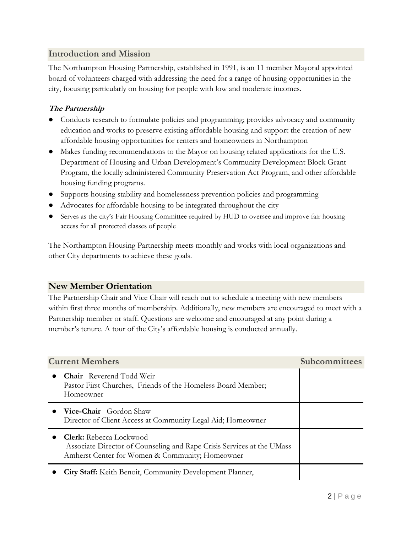### **Introduction and Mission**

The Northampton Housing Partnership, established in 1991, is an 11 member Mayoral appointed board of volunteers charged with addressing the need for a range of housing opportunities in the city, focusing particularly on housing for people with low and moderate incomes.

### **The Partnership**

- Conducts research to formulate policies and programming; provides advocacy and community education and works to preserve existing affordable housing and support the creation of new affordable housing opportunities for renters and homeowners in Northampton
- Makes funding recommendations to the Mayor on housing related applications for the U.S. Department of Housing and Urban Development's Community Development Block Grant Program, the locally administered Community Preservation Act Program, and other affordable housing funding programs.
- Supports housing stability and homelessness prevention policies and programming
- Advocates for affordable housing to be integrated throughout the city
- Serves as the city's Fair Housing Committee required by HUD to oversee and improve fair housing access for all protected classes of people

The Northampton Housing Partnership meets monthly and works with local organizations and other City departments to achieve these goals.

# **New Member Orientation**

The Partnership Chair and Vice Chair will reach out to schedule a meeting with new members within first three months of membership. Additionally, new members are encouraged to meet with a Partnership member or staff. Questions are welcome and encouraged at any point during a member's tenure. A tour of the City's affordable housing is conducted annually.

| <b>Current Members</b>                                                                                                                                      | <b>Subcommittees</b> |
|-------------------------------------------------------------------------------------------------------------------------------------------------------------|----------------------|
| Chair Reverend Todd Weir<br>Pastor First Churches, Friends of the Homeless Board Member;<br>Homeowner                                                       |                      |
| • Vice-Chair Gordon Shaw<br>Director of Client Access at Community Legal Aid; Homeowner                                                                     |                      |
| <b>Clerk:</b> Rebecca Lockwood<br>Associate Director of Counseling and Rape Crisis Services at the UMass<br>Amherst Center for Women & Community; Homeowner |                      |
| City Staff: Keith Benoit, Community Development Planner,                                                                                                    |                      |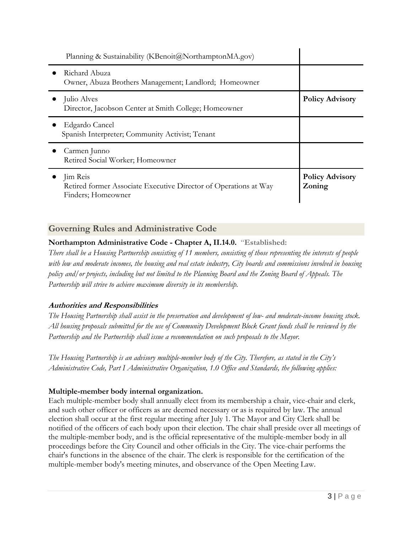| Planning & Sustainability (KBenoit@NorthamptonMA.gov)                                              |                                  |
|----------------------------------------------------------------------------------------------------|----------------------------------|
| Richard Abuza<br>Owner, Abuza Brothers Management; Landlord; Homeowner                             |                                  |
| Julio Alves<br>Director, Jacobson Center at Smith College; Homeowner                               | <b>Policy Advisory</b>           |
| Edgardo Cancel<br>Spanish Interpreter; Community Activist; Tenant                                  |                                  |
| Carmen Junno<br>Retired Social Worker; Homeowner                                                   |                                  |
| Jim Reis<br>Retired former Associate Executive Director of Operations at Way<br>Finders; Homeowner | <b>Policy Advisory</b><br>Zoning |

# **Governing Rules and Administrative Code**

# **Northampton Administrative Code - Chapter A, II.14.0.** "**Established:**

*There shall be a Housing Partnership consisting of 11 members, consisting of those representing the interests of people with low and moderate incomes, the housing and real estate industry, City boards and commissions involved in housing policy and/or projects, including but not limited to the Planning Board and the Zoning Board of Appeals. The Partnership will strive to achieve maximum diversity in its membership.* 

# **Authorities and Responsibilities**

*The Housing Partnership shall assist in the preservation and development of low- and moderate-income housing stock. All housing proposals submitted for the use of Community Development Block Grant funds shall be reviewed by the Partnership and the Partnership shall issue a recommendation on such proposals to the Mayor.* 

*The Housing Partnership is an advisory multiple-member body of the City. Therefore, as stated in the City's Administrative Code, Part I Administrative Organization, 1.0 Office and Standards, the following applies:*

# **Multiple-member body internal organization.**

Each multiple-member body shall annually elect from its membership a chair, vice-chair and clerk, and such other officer or officers as are deemed necessary or as is required by law. The annual election shall occur at the first regular meeting after July 1. The Mayor and City Clerk shall be notified of the officers of each body upon their election. The chair shall preside over all meetings of the multiple-member body, and is the official representative of the multiple-member body in all proceedings before the City Council and other officials in the City. The vice-chair performs the chair's functions in the absence of the chair. The clerk is responsible for the certification of the multiple-member body's meeting minutes, and observance of the Open Meeting Law.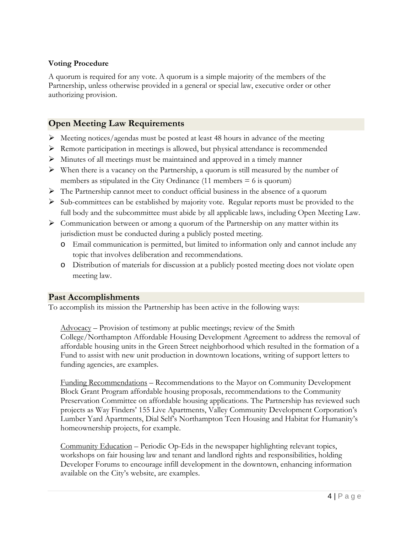### **Voting Procedure**

A quorum is required for any vote. A quorum is a simple majority of the members of the Partnership, unless otherwise provided in a general or special law, executive order or other authorizing provision.

# **Open Meeting Law Requirements**

- $\triangleright$  Meeting notices/agendas must be posted at least 48 hours in advance of the meeting
- $\triangleright$  Remote participation in meetings is allowed, but physical attendance is recommended
- $\triangleright$  Minutes of all meetings must be maintained and approved in a timely manner
- When there is a vacancy on the Partnership, a quorum is still measured by the number of members as stipulated in the City Ordinance  $(11$  members = 6 is quorum)
- $\triangleright$  The Partnership cannot meet to conduct official business in the absence of a quorum
- $\triangleright$  Sub-committees can be established by majority vote. Regular reports must be provided to the full body and the subcommittee must abide by all applicable laws, including Open Meeting Law.
- $\triangleright$  Communication between or among a quorum of the Partnership on any matter within its jurisdiction must be conducted during a publicly posted meeting.
	- o Email communication is permitted, but limited to information only and cannot include any topic that involves deliberation and recommendations.
	- o Distribution of materials for discussion at a publicly posted meeting does not violate open meeting law.

# **Past Accomplishments**

To accomplish its mission the Partnership has been active in the following ways:

Advocacy – Provision of testimony at public meetings; review of the Smith College/Northampton Affordable Housing Development Agreement to address the removal of affordable housing units in the Green Street neighborhood which resulted in the formation of a Fund to assist with new unit production in downtown locations, writing of support letters to funding agencies, are examples.

Funding Recommendations – Recommendations to the Mayor on Community Development Block Grant Program affordable housing proposals, recommendations to the Community Preservation Committee on affordable housing applications. The Partnership has reviewed such projects as Way Finders' 155 Live Apartments, Valley Community Development Corporation's Lumber Yard Apartments, Dial Self's Northampton Teen Housing and Habitat for Humanity's homeownership projects, for example.

Community Education – Periodic Op-Eds in the newspaper highlighting relevant topics, workshops on fair housing law and tenant and landlord rights and responsibilities, holding Developer Forums to encourage infill development in the downtown, enhancing information available on the City's website, are examples.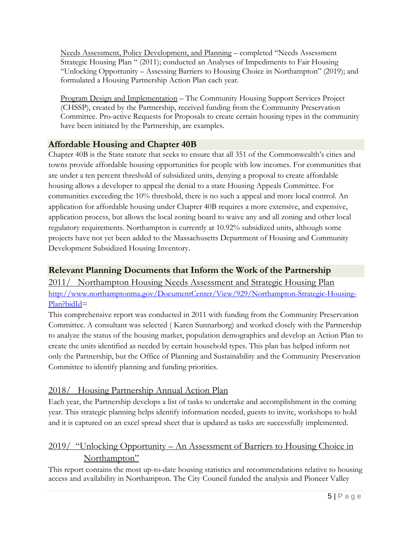Needs Assessment, Policy Development, and Planning – completed "Needs Assessment Strategic Housing Plan " (2011); conducted an Analyses of Impediments to Fair Housing "Unlocking Opportunity – Assessing Barriers to Housing Choice in Northampton" (2019); and formulated a Housing Partnership Action Plan each year.

Program Design and Implementation – The Community Housing Support Services Project (CHSSP), created by the Partnership, received funding from the Community Preservation Committee. Pro-active Requests for Proposals to create certain housing types in the community have been initiated by the Partnership, are examples.

# **Affordable Housing and Chapter 40B**

Chapter 40B is the State statute that seeks to ensure that all 351 of the Commonwealth's cities and towns provide affordable housing opportunities for people with low incomes. For communities that are under a ten percent threshold of subsidized units, denying a proposal to create affordable housing allows a developer to appeal the denial to a state Housing Appeals Committee. For communities exceeding the 10% threshold, there is no such a appeal and more local control. An application for affordable housing under Chapter 40B requires a more extensive, and expensive, application process, but allows the local zoning board to waive any and all zoning and other local regulatory requirements. Northampton is currently at 10.92% subsidized units, although some projects have not yet been added to the Massachusetts Department of Housing and Community Development Subsidized Housing Inventory.

# **Relevant Planning Documents that Inform the Work of the Partnership**

2011/ Northampton Housing Needs Assessment and Strategic Housing Plan http://www.northamptonma.gov/DocumentCenter/View/929/Northampton-Strategic-Housing-Plan?bidId=

This comprehensive report was conducted in 2011 with funding from the Community Preservation Committee. A consultant was selected ( Karen Sunnarborg) and worked closely with the Partnership to analyze the status of the housing market, population demographics and develop an Action Plan to create the units identified as needed by certain household types. This plan has helped inform not only the Partnership, but the Office of Planning and Sustainability and the Community Preservation Committee to identify planning and funding priorities.

# 2018/ Housing Partnership Annual Action Plan

Each year, the Partnership develops a list of tasks to undertake and accomplishment in the coming year. This strategic planning helps identify information needed, guests to invite, workshops to hold and it is captured on an excel spread sheet that is updated as tasks are successfully implemented.

# 2019/ "Unlocking Opportunity – An Assessment of Barriers to Housing Choice in Northampton"

This report contains the most up-to-date housing statistics and recommendations relative to housing access and availability in Northampton. The City Council funded the analysis and Pioneer Valley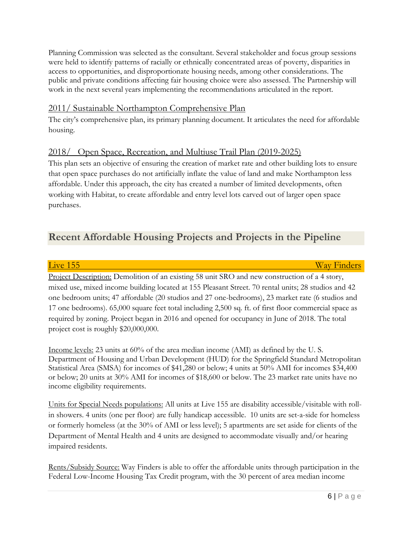Planning Commission was selected as the consultant. Several stakeholder and focus group sessions were held to identify patterns of racially or ethnically concentrated areas of poverty, disparities in access to opportunities, and disproportionate housing needs, among other considerations. The public and private conditions affecting fair housing choice were also assessed. The Partnership will work in the next several years implementing the recommendations articulated in the report.

# 2011/ Sustainable Northampton Comprehensive Plan

The city's comprehensive plan, its primary planning document. It articulates the need for affordable housing.

# 2018/ Open Space, Recreation, and Multiuse Trail Plan (2019-2025)

This plan sets an objective of ensuring the creation of market rate and other building lots to ensure that open space purchases do not artificially inflate the value of land and make Northampton less affordable. Under this approach, the city has created a number of limited developments, often working with Habitat, to create affordable and entry level lots carved out of larger open space purchases.

# **Recent Affordable Housing Projects and Projects in the Pipeline**

Live 155 Way Finders

Project Description: Demolition of an existing 58 unit SRO and new construction of a 4 story, mixed use, mixed income building located at 155 Pleasant Street. 70 rental units; 28 studios and 42 one bedroom units; 47 affordable (20 studios and 27 one-bedrooms), 23 market rate (6 studios and 17 one bedrooms). 65,000 square feet total including 2,500 sq. ft. of first floor commercial space as required by zoning. Project began in 2016 and opened for occupancy in June of 2018. The total project cost is roughly \$20,000,000.

Income levels: 23 units at 60% of the area median income (AMI) as defined by the U. S. Department of Housing and Urban Development (HUD) for the Springfield Standard Metropolitan Statistical Area (SMSA) for incomes of \$41,280 or below; 4 units at 50% AMI for incomes \$34,400 or below; 20 units at 30% AMI for incomes of \$18,600 or below. The 23 market rate units have no income eligibility requirements.

Units for Special Needs populations: All units at Live 155 are disability accessible/visitable with rollin showers. 4 units (one per floor) are fully handicap accessible. 10 units are set-a-side for homeless or formerly homeless (at the 30% of AMI or less level); 5 apartments are set aside for clients of the Department of Mental Health and 4 units are designed to accommodate visually and/or hearing impaired residents.

Rents/Subsidy Source: Way Finders is able to offer the affordable units through participation in the Federal Low-Income Housing Tax Credit program, with the 30 percent of area median income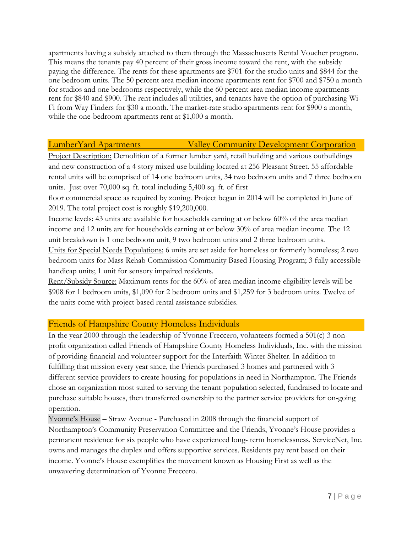apartments having a subsidy attached to them through the Massachusetts Rental Voucher program. This means the tenants pay 40 percent of their gross income toward the rent, with the subsidy paying the difference. The rents for these apartments are \$701 for the studio units and \$844 for the one bedroom units. The 50 percent area median income apartments rent for \$700 and \$750 a month for studios and one bedrooms respectively, while the 60 percent area median income apartments rent for \$840 and \$900. The rent includes all utilities, and tenants have the option of purchasing Wi-Fi from Way Finders for \$30 a month. The market-rate studio apartments rent for \$900 a month, while the one-bedroom apartments rent at \$1,000 a month.

#### LumberYard Apartments Valley Community Development Corporation

Project Description: Demolition of a former lumber yard, retail building and various outbuildings and new construction of a 4 story mixed use building located at 256 Pleasant Street. 55 affordable rental units will be comprised of 14 one bedroom units, 34 two bedroom units and 7 three bedroom units. Just over 70,000 sq. ft. total including 5,400 sq. ft. of first

floor commercial space as required by zoning. Project began in 2014 will be completed in June of 2019. The total project cost is roughly \$19,200,000.

Income levels: 43 units are available for households earning at or below 60% of the area median income and 12 units are for households earning at or below 30% of area median income. The 12 unit breakdown is 1 one bedroom unit, 9 two bedroom units and 2 three bedroom units.

Units for Special Needs Populations: 6 units are set aside for homeless or formerly homeless; 2 two bedroom units for Mass Rehab Commission Community Based Housing Program; 3 fully accessible handicap units; 1 unit for sensory impaired residents.

Rent/Subsidy Source: Maximum rents for the 60% of area median income eligibility levels will be \$908 for 1 bedroom units, \$1,090 for 2 bedroom units and \$1,259 for 3 bedroom units. Twelve of the units come with project based rental assistance subsidies.

### Friends of Hampshire County Homeless Individuals

In the year 2000 through the leadership of Yvonne Freccero, volunteers formed a 501(c) 3 nonprofit organization called Friends of Hampshire County Homeless Individuals, Inc. with the mission of providing financial and volunteer support for the Interfaith Winter Shelter. In addition to fulfilling that mission every year since, the Friends purchased 3 homes and partnered with 3 different service providers to create housing for populations in need in Northampton. The Friends chose an organization most suited to serving the tenant population selected, fundraised to locate and purchase suitable houses, then transferred ownership to the partner service providers for on-going operation.

Yvonne's House – Straw Avenue - Purchased in 2008 through the financial support of Northampton's Community Preservation Committee and the Friends, Yvonne's House provides a permanent residence for six people who have experienced long- term homelessness. ServiceNet, Inc. owns and manages the duplex and offers supportive services. Residents pay rent based on their income. Yvonne's House exemplifies the movement known as Housing First as well as the unwavering determination of Yvonne Freccero.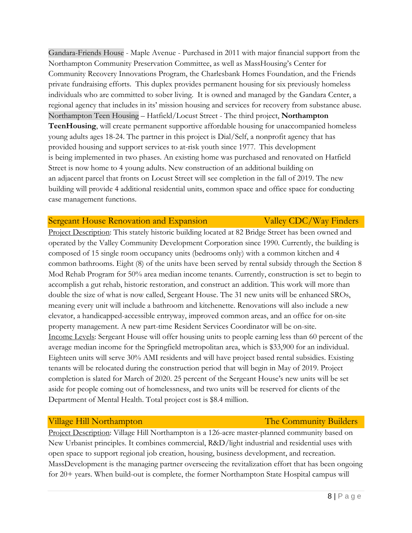Gandara-Friends House - Maple Avenue - Purchased in 2011 with major financial support from the Northampton Community Preservation Committee, as well as MassHousing's Center for Community Recovery Innovations Program, the Charlesbank Homes Foundation, and the Friends private fundraising efforts. This duplex provides permanent housing for six previously homeless individuals who are committed to sober living. It is owned and managed by the Gandara Center, a regional agency that includes in its' mission housing and services for recovery from substance abuse. Northampton Teen Housing – Hatfield/Locust Street - The third project, **Northampton TeenHousing**, will create permanent supportive affordable housing for unaccompanied homeless young adults ages 18-24. The partner in this project is Dial/Self, a nonprofit agency that has provided housing and support services to at-risk youth since 1977. This development is being implemented in two phases. An existing home was purchased and renovated on Hatfield Street is now home to 4 young adults. New construction of an additional building on an adjacent parcel that fronts on Locust Street will see completion in the fall of 2019. The new building will provide 4 additional residential units, common space and office space for conducting case management functions.

#### Sergeant House Renovation and Expansion Valley CDC/Way Finders

Project Description: This stately historic building located at 82 Bridge Street has been owned and operated by the Valley Community Development Corporation since 1990. Currently, the building is composed of 15 single room occupancy units (bedrooms only) with a common kitchen and 4 common bathrooms. Eight (8) of the units have been served by rental subsidy through the Section 8 Mod Rehab Program for 50% area median income tenants. Currently, construction is set to begin to accomplish a gut rehab, historic restoration, and construct an addition. This work will more than double the size of what is now called, Sergeant House. The 31 new units will be enhanced SROs, meaning every unit will include a bathroom and kitchenette. Renovations will also include a new elevator, a handicapped-accessible entryway, improved common areas, and an office for on-site property management. A new part-time Resident Services Coordinator will be on-site. Income Levels: Sergeant House will offer housing units to people earning less than 60 percent of the average median income for the Springfield metropolitan area, which is \$33,900 for an individual. Eighteen units will serve 30% AMI residents and will have project based rental subsidies. Existing tenants will be relocated during the construction period that will begin in May of 2019. Project completion is slated for March of 2020. 25 percent of the Sergeant House's new units will be set aside for people coming out of homelessness, and two units will be reserved for clients of the Department of Mental Health. Total project cost is \$8.4 million.

#### Village Hill Northampton The Community Builders

Project Description: Village Hill Northampton is a 126-acre master-planned community based on New Urbanist principles. It combines commercial, R&D/light industrial and residential uses with open space to support regional job creation, housing, business development, and recreation. MassDevelopment is the managing partner overseeing the revitalization effort that has been ongoing for 20+ years. When build-out is complete, the former Northampton State Hospital campus will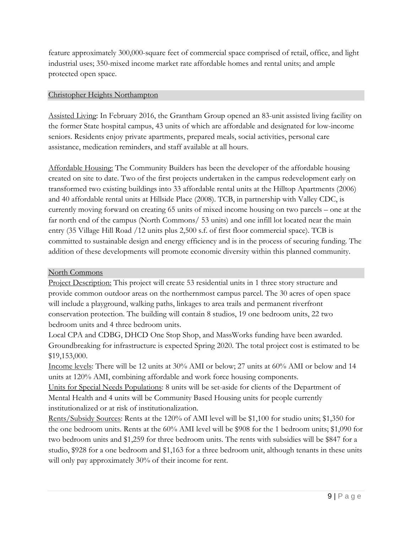feature approximately 300,000-square feet of commercial space comprised of retail, office, and light industrial uses; 350-mixed income market rate affordable homes and rental units; and ample protected open space.

#### Christopher Heights Northampton

Assisted Living: In February 2016, the Grantham Group opened an 83-unit assisted living facility on the former State hospital campus, 43 units of which are affordable and designated for low-income seniors. Residents enjoy private apartments, prepared meals, social activities, personal care assistance, medication reminders, and staff available at all hours.

Affordable Housing: The Community Builders has been the developer of the affordable housing created on site to date. Two of the first projects undertaken in the campus redevelopment early on transformed two existing buildings into 33 affordable rental units at the Hilltop Apartments (2006) and 40 affordable rental units at Hillside Place (2008). TCB, in partnership with Valley CDC, is currently moving forward on creating 65 units of mixed income housing on two parcels – one at the far north end of the campus (North Commons/ 53 units) and one infill lot located near the main entry (35 Village Hill Road /12 units plus 2,500 s.f. of first floor commercial space). TCB is committed to sustainable design and energy efficiency and is in the process of securing funding. The addition of these developments will promote economic diversity within this planned community.

### North Commons

Project Description: This project will create 53 residential units in 1 three story structure and provide common outdoor areas on the northernmost campus parcel. The 30 acres of open space will include a playground, walking paths, linkages to area trails and permanent riverfront conservation protection. The building will contain 8 studios, 19 one bedroom units, 22 two bedroom units and 4 three bedroom units.

Local CPA and CDBG, DHCD One Stop Shop, and MassWorks funding have been awarded. Groundbreaking for infrastructure is expected Spring 2020. The total project cost is estimated to be \$19,153,000.

Income levels: There will be 12 units at 30% AMI or below; 27 units at 60% AMI or below and 14 units at 120% AMI, combining affordable and work force housing components.

Units for Special Needs Populations: 8 units will be set-aside for clients of the Department of Mental Health and 4 units will be Community Based Housing units for people currently institutionalized or at risk of institutionalization.

Rents/Subsidy Sources: Rents at the 120% of AMI level will be \$1,100 for studio units; \$1,350 for the one bedroom units. Rents at the 60% AMI level will be \$908 for the 1 bedroom units; \$1,090 for two bedroom units and \$1,259 for three bedroom units. The rents with subsidies will be \$847 for a studio, \$928 for a one bedroom and \$1,163 for a three bedroom unit, although tenants in these units will only pay approximately 30% of their income for rent.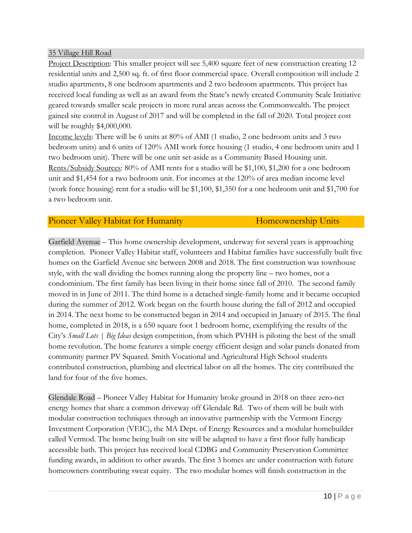#### 35 Village Hill Road

Project Description: This smaller project will see 5,400 square feet of new construction creating 12 residential units and 2,500 sq. ft. of first floor commercial space. Overall composition will include 2 studio apartments, 8 one bedroom apartments and 2 two bedroom apartments. This project has received local funding as well as an award from the State's newly created Community Scale Initiative geared towards smaller scale projects in more rural areas across the Commonwealth. The project gained site control in August of 2017 and will be completed in the fall of 2020. Total project cost will be roughly \$4,000,000.

Income levels: There will be 6 units at 80% of AMI (1 studio, 2 one bedroom units and 3 two bedroom units) and 6 units of 120% AMI work force housing (1 studio, 4 one bedroom units and 1 two bedroom unit). There will be one unit set-aside as a Community Based Housing unit. Rents/Subsidy Sources: 80% of AMI rents for a studio will be \$1,100, \$1,200 for a one bedroom unit and \$1,454 for a two bedroom unit. For incomes at the 120% of area median income level (work force housing) rent for a studio will be \$1,100, \$1,350 for a one bedroom unit and \$1,700 for a two bedroom unit.

Pioneer Valley Habitat for Humanity Homeownership Units

Garfield Avenue – This home ownership development, underway for several years is approaching completion. Pioneer Valley Habitat staff, volunteers and Habitat families have successfully built five homes on the Garfield Avenue site between 2008 and 2018. The first construction was townhouse style, with the wall dividing the homes running along the property line – two homes, not a condominium. The first family has been living in their home since fall of 2010. The second family moved in in June of 2011. The third home is a detached single-family home and it became occupied during the summer of 2012. Work began on the fourth house during the fall of 2012 and occupied in 2014. The next home to be constructed began in 2014 and occupied in January of 2015. The final home, completed in 2018, is a 650 square foot 1 bedroom home, exemplifying the results of the City's *Small Lots | Big Ideas* design competition, from which PVHH is piloting the best of the small home revolution. The home features a simple energy efficient design and solar panels donated from community partner PV Squared. Smith Vocational and Agricultural High School students contributed construction, plumbing and electrical labor on all the homes. The city contributed the land for four of the five homes.

Glendale Road – Pioneer Valley Habitat for Humanity broke ground in 2018 on three zero-net energy homes that share a common driveway off Glendale Rd. Two of them will be built with modular construction techniques through an innovative partnership with the Vermont Energy Investment Corporation (VEIC), the MA Dept. of Energy Resources and a modular homebuilder called Vermod. The home being built on site will be adapted to have a first floor fully handicap accessible bath. This project has received local CDBG and Community Preservation Committee funding awards, in addition to other awards. The first 3 homes are under construction with future homeowners contributing sweat equity. The two modular homes will finish construction in the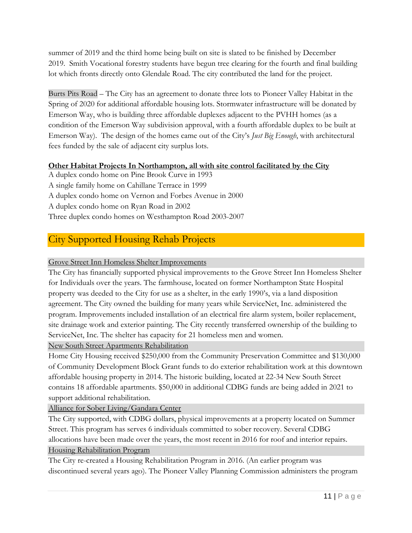summer of 2019 and the third home being built on site is slated to be finished by December 2019. Smith Vocational forestry students have begun tree clearing for the fourth and final building lot which fronts directly onto Glendale Road. The city contributed the land for the project.

Burts Pits Road – The City has an agreement to donate three lots to Pioneer Valley Habitat in the Spring of 2020 for additional affordable housing lots. Stormwater infrastructure will be donated by Emerson Way, who is building three affordable duplexes adjacent to the PVHH homes (as a condition of the Emerson Way subdivision approval, with a fourth affordable duplex to be built at Emerson Way). The design of the homes came out of the City's *Just Big Enough*, with architectural fees funded by the sale of adjacent city surplus lots.

### **Other Habitat Projects In Northampton, all with site control facilitated by the City**

A duplex condo home on Pine Brook Curve in 1993 A single family home on Cahillane Terrace in 1999 A duplex condo home on Vernon and Forbes Avenue in 2000 A duplex condo home on Ryan Road in 2002 Three duplex condo homes on Westhampton Road 2003-2007

# City Supported Housing Rehab Projects

#### Grove Street Inn Homeless Shelter Improvements

The City has financially supported physical improvements to the Grove Street Inn Homeless Shelter for Individuals over the years. The farmhouse, located on former Northampton State Hospital property was deeded to the City for use as a shelter, in the early 1990's, via a land disposition agreement. The City owned the building for many years while ServiceNet, Inc. administered the program. Improvements included installation of an electrical fire alarm system, boiler replacement, site drainage work and exterior painting. The City recently transferred ownership of the building to ServiceNet, Inc. The shelter has capacity for 21 homeless men and women.

New South Street Apartments Rehabilitation

Home City Housing received \$250,000 from the Community Preservation Committee and \$130,000 of Community Development Block Grant funds to do exterior rehabilitation work at this downtown affordable housing property in 2014. The historic building, located at 22-34 New South Street contains 18 affordable apartments. \$50,000 in additional CDBG funds are being added in 2021 to support additional rehabilitation.

Alliance for Sober Living/Gandara Center

The City supported, with CDBG dollars, physical improvements at a property located on Summer Street. This program has serves 6 individuals committed to sober recovery. Several CDBG allocations have been made over the years, the most recent in 2016 for roof and interior repairs. Housing Rehabilitation Program

The City re-created a Housing Rehabilitation Program in 2016. (An earlier program was discontinued several years ago). The Pioneer Valley Planning Commission administers the program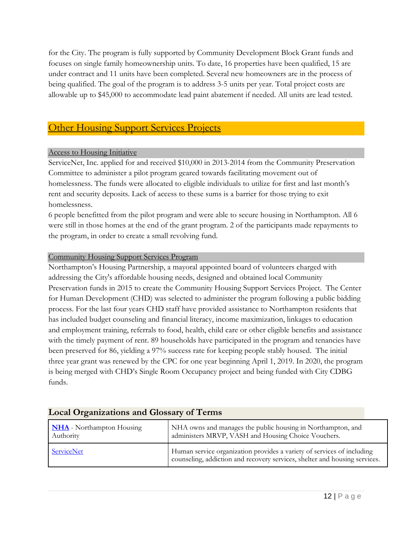for the City. The program is fully supported by Community Development Block Grant funds and focuses on single family homeownership units. To date, 16 properties have been qualified, 15 are under contract and 11 units have been completed. Several new homeowners are in the process of being qualified. The goal of the program is to address 3-5 units per year. Total project costs are allowable up to \$45,000 to accommodate lead paint abatement if needed. All units are lead tested.

# Other Housing Support Services Projects

### Access to Housing Initiative

ServiceNet, Inc. applied for and received \$10,000 in 2013-2014 from the Community Preservation Committee to administer a pilot program geared towards facilitating movement out of homelessness. The funds were allocated to eligible individuals to utilize for first and last month's rent and security deposits. Lack of access to these sums is a barrier for those trying to exit homelessness.

6 people benefitted from the pilot program and were able to secure housing in Northampton. All 6 were still in those homes at the end of the grant program. 2 of the participants made repayments to the program, in order to create a small revolving fund.

### Community Housing Support Services Program

Northampton's Housing Partnership, a mayoral appointed board of volunteers charged with addressing the City's affordable housing needs, designed and obtained local Community Preservation funds in 2015 to create the Community Housing Support Services Project. The Center for Human Development (CHD) was selected to administer the program following a public bidding process. For the last four years CHD staff have provided assistance to Northampton residents that has included budget counseling and financial literacy, income maximization, linkages to education and employment training, referrals to food, health, child care or other eligible benefits and assistance with the timely payment of rent. 89 households have participated in the program and tenancies have been preserved for 86, yielding a 97% success rate for keeping people stably housed. The initial three year grant was renewed by the CPC for one year beginning April 1, 2019. In 2020, the program is being merged with CHD's Single Room Occupancy project and being funded with City CDBG funds.

| <b>NHA</b> - Northampton Housing | NHA owns and manages the public housing in Northampton, and                                                                                          |
|----------------------------------|------------------------------------------------------------------------------------------------------------------------------------------------------|
| Authority                        | administers MRVP, VASH and Housing Choice Vouchers.                                                                                                  |
| ServiceNet                       | Human service organization provides a variety of services of including<br>counseling, addiction and recovery services, shelter and housing services. |

# **Local Organizations and Glossary of Terms**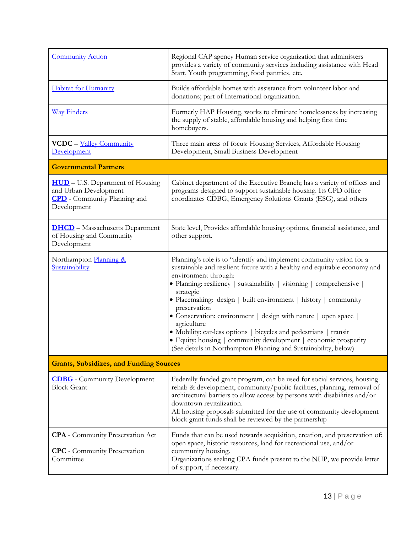| <b>Community Action</b>                                                                                                | Regional CAP agency Human service organization that administers<br>provides a variety of community services including assistance with Head<br>Start, Youth programming, food pantries, etc.                                                                                                                                                                                                                                                                                                                                                                                                                                                   |  |  |  |
|------------------------------------------------------------------------------------------------------------------------|-----------------------------------------------------------------------------------------------------------------------------------------------------------------------------------------------------------------------------------------------------------------------------------------------------------------------------------------------------------------------------------------------------------------------------------------------------------------------------------------------------------------------------------------------------------------------------------------------------------------------------------------------|--|--|--|
| <b>Habitat for Humanity</b>                                                                                            | Builds affordable homes with assistance from volunteer labor and<br>donations; part of International organization.                                                                                                                                                                                                                                                                                                                                                                                                                                                                                                                            |  |  |  |
| <b>Way Finders</b>                                                                                                     | Formerly HAP Housing, works to eliminate homelessness by increasing<br>the supply of stable, affordable housing and helping first time<br>homebuyers.                                                                                                                                                                                                                                                                                                                                                                                                                                                                                         |  |  |  |
| <b>VCDC</b> – Valley Community<br>Development                                                                          | Three main areas of focus: Housing Services, Affordable Housing<br>Development, Small Business Development                                                                                                                                                                                                                                                                                                                                                                                                                                                                                                                                    |  |  |  |
| <b>Governmental Partners</b>                                                                                           |                                                                                                                                                                                                                                                                                                                                                                                                                                                                                                                                                                                                                                               |  |  |  |
| <b>HUD</b> – U.S. Department of Housing<br>and Urban Development<br><b>CPD</b> - Community Planning and<br>Development | Cabinet department of the Executive Branch; has a variety of offices and<br>programs designed to support sustainable housing. Its CPD office<br>coordinates CDBG, Emergency Solutions Grants (ESG), and others                                                                                                                                                                                                                                                                                                                                                                                                                                |  |  |  |
| <b>DHCD</b> - Massachusetts Department<br>of Housing and Community<br>Development                                      | State level, Provides affordable housing options, financial assistance, and<br>other support.                                                                                                                                                                                                                                                                                                                                                                                                                                                                                                                                                 |  |  |  |
| Northampton Planning &<br>Sustainability                                                                               | Planning's role is to "identify and implement community vision for a<br>sustainable and resilient future with a healthy and equitable economy and<br>environment through:<br>• Planning: resiliency   sustainability   visioning   comprehensive  <br>strategic<br>• Placemaking: design   built environment   history   community<br>preservation<br>• Conservation: environment   design with nature   open space<br>agriculture<br>• Mobility: car-less options   bicycles and pedestrians   transit<br>• Equity: housing   community development   economic prosperity<br>(See details in Northampton Planning and Sustainability, below) |  |  |  |
| <b>Grants, Subsidizes, and Funding Sources</b>                                                                         |                                                                                                                                                                                                                                                                                                                                                                                                                                                                                                                                                                                                                                               |  |  |  |
| <b>CDBG</b> - Community Development<br><b>Block Grant</b>                                                              | Federally funded grant program, can be used for social services, housing<br>rehab & development, community/public facilities, planning, removal of<br>architectural barriers to allow access by persons with disabilities and/or<br>downtown revitalization.<br>All housing proposals submitted for the use of community development<br>block grant funds shall be reviewed by the partnership                                                                                                                                                                                                                                                |  |  |  |
| <b>CPA</b> - Community Preservation Act<br><b>CPC</b> - Community Preservation<br>Committee                            | Funds that can be used towards acquisition, creation, and preservation of:<br>open space, historic resources, land for recreational use, and/or<br>community housing.<br>Organizations seeking CPA funds present to the NHP, we provide letter<br>of support, if necessary.                                                                                                                                                                                                                                                                                                                                                                   |  |  |  |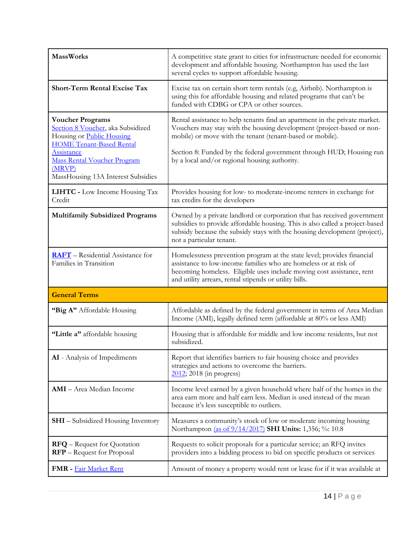| <b>MassWorks</b>                                                                                                                                                                                                                 | A competitive state grant to cities for infrastructure needed for economic<br>development and affordable housing. Northampton has used the last<br>several cycles to support affordable housing.                                                                                                                                          |
|----------------------------------------------------------------------------------------------------------------------------------------------------------------------------------------------------------------------------------|-------------------------------------------------------------------------------------------------------------------------------------------------------------------------------------------------------------------------------------------------------------------------------------------------------------------------------------------|
| <b>Short-Term Rental Excise Tax</b>                                                                                                                                                                                              | Excise tax on certain short term rentals (e.g, Airbnb). Northampton is<br>using this for affordable housing and related programs that can't be<br>funded with CDBG or CPA or other sources.                                                                                                                                               |
| <b>Voucher Programs</b><br>Section 8 Voucher, aka Subsidized<br>Housing or Public Housing<br><b>HOME Tenant-Based Rental</b><br>Assistance<br><b>Mass Rental Voucher Program</b><br>(MRVP)<br>MassHousing 13A Interest Subsidies | Rental assistance to help tenants find an apartment in the private market.<br>Vouchers may stay with the housing development (project-based or non-<br>mobile) or move with the tenant (tenant-based or mobile).<br>Section 8: Funded by the federal government through HUD; Housing run<br>by a local and/or regional housing authority. |
| LIHTC - Low Income Housing Tax<br>Credit                                                                                                                                                                                         | Provides housing for low- to moderate-income renters in exchange for<br>tax credits for the developers                                                                                                                                                                                                                                    |
| <b>Multifamily Subsidized Programs</b>                                                                                                                                                                                           | Owned by a private landlord or corporation that has received government<br>subsidies to provide affordable housing. This is also called a project-based<br>subsidy because the subsidy stays with the housing development (project),<br>not a particular tenant.                                                                          |
| <b>RAFT</b> – Residential Assistance for<br>Families in Transition                                                                                                                                                               | Homelessness prevention program at the state level; provides financial<br>assistance to low-income families who are homeless or at risk of<br>becoming homeless. Eligible uses include moving cost assistance, rent<br>and utility arrears, rental stipends or utility bills.                                                             |
| <b>General Terms</b>                                                                                                                                                                                                             |                                                                                                                                                                                                                                                                                                                                           |
| "Big A" Affordable Housing                                                                                                                                                                                                       | Affordable as defined by the federal government in terms of Area Median<br>Income (AMI), legally defined term (affordable at 80% or less AMI)                                                                                                                                                                                             |
| "Little a" affordable housing                                                                                                                                                                                                    | Housing that is affordable for middle and low income residents, but not<br>subsidized.                                                                                                                                                                                                                                                    |
| AI - Analysis of Impediments                                                                                                                                                                                                     | Report that identifies barriers to fair housing choice and provides<br>strategies and actions to overcome the barriers.<br>$2012$ ; 2018 (in progress)                                                                                                                                                                                    |
| <b>AMI</b> - Area Median Income                                                                                                                                                                                                  | Income level earned by a given household where half of the homes in the<br>area earn more and half earn less. Median is used instead of the mean<br>because it's less susceptible to outliers.                                                                                                                                            |
| <b>SHI</b> - Subsidized Housing Inventory                                                                                                                                                                                        | Measures a community's stock of low or moderate incoming housing<br>Northampton (as of 9/14/2017) SHI Units: 1,356; %: 10.8                                                                                                                                                                                                               |
| <b>RFQ</b> – Request for Quotation<br><b>RFP</b> – Request for Proposal                                                                                                                                                          | Requests to solicit proposals for a particular service; an RFQ invites<br>providers into a bidding process to bid on specific products or services                                                                                                                                                                                        |
| <b>FMR</b> - Fair Market Rent                                                                                                                                                                                                    | Amount of money a property would rent or lease for if it was available at                                                                                                                                                                                                                                                                 |